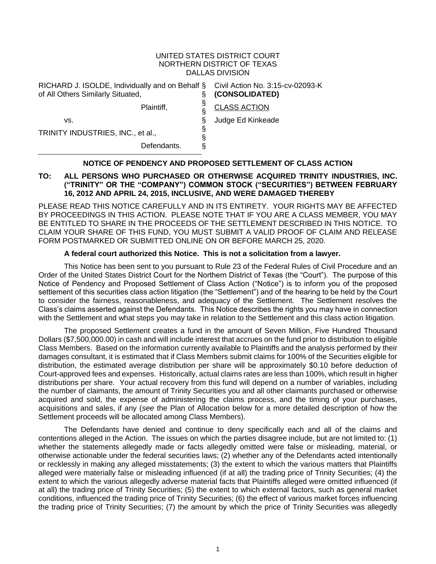#### UNITED STATES DISTRICT COURT NORTHERN DISTRICT OF TEXAS DALLAS DIVISION

| (CONSOLIDATED)      |
|---------------------|
| <b>CLASS ACTION</b> |
| Judge Ed Kinkeade   |
|                     |
|                     |
|                     |

#### **NOTICE OF PENDENCY AND PROPOSED SETTLEMENT OF CLASS ACTION**

### **TO: ALL PERSONS WHO PURCHASED OR OTHERWISE ACQUIRED TRINITY INDUSTRIES, INC. ("TRINITY" OR THE "COMPANY") COMMON STOCK ("SECURITIES") BETWEEN FEBRUARY 16, 2012 AND APRIL 24, 2015, INCLUSIVE, AND WERE DAMAGED THEREBY**

PLEASE READ THIS NOTICE CAREFULLY AND IN ITS ENTIRETY. YOUR RIGHTS MAY BE AFFECTED BY PROCEEDINGS IN THIS ACTION. PLEASE NOTE THAT IF YOU ARE A CLASS MEMBER, YOU MAY BE ENTITLED TO SHARE IN THE PROCEEDS OF THE SETTLEMENT DESCRIBED IN THIS NOTICE. TO CLAIM YOUR SHARE OF THIS FUND, YOU MUST SUBMIT A VALID PROOF OF CLAIM AND RELEASE FORM POSTMARKED OR SUBMITTED ONLINE ON OR BEFORE MARCH 25, 2020.

#### **A federal court authorized this Notice. This is not a solicitation from a lawyer.**

This Notice has been sent to you pursuant to Rule 23 of the Federal Rules of Civil Procedure and an Order of the United States District Court for the Northern District of Texas (the "Court"). The purpose of this Notice of Pendency and Proposed Settlement of Class Action ("Notice") is to inform you of the proposed settlement of this securities class action litigation (the "Settlement") and of the hearing to be held by the Court to consider the fairness, reasonableness, and adequacy of the Settlement. The Settlement resolves the Class's claims asserted against the Defendants. This Notice describes the rights you may have in connection with the Settlement and what steps you may take in relation to the Settlement and this class action litigation.

The proposed Settlement creates a fund in the amount of Seven Million, Five Hundred Thousand Dollars (\$7,500,000.00) in cash and will include interest that accrues on the fund prior to distribution to eligible Class Members. Based on the information currently available to Plaintiffs and the analysis performed by their damages consultant, it is estimated that if Class Members submit claims for 100% of the Securities eligible for distribution, the estimated average distribution per share will be approximately \$0.10 before deduction of Court-approved fees and expenses. Historically, actual claims rates are less than 100%, which result in higher distributions per share. Your actual recovery from this fund will depend on a number of variables, including the number of claimants, the amount of Trinity Securities you and all other claimants purchased or otherwise acquired and sold, the expense of administering the claims process, and the timing of your purchases, acquisitions and sales, if any (*see* the Plan of Allocation below for a more detailed description of how the Settlement proceeds will be allocated among Class Members).

The Defendants have denied and continue to deny specifically each and all of the claims and contentions alleged in the Action. The issues on which the parties disagree include, but are not limited to: (1) whether the statements allegedly made or facts allegedly omitted were false or misleading, material, or otherwise actionable under the federal securities laws; (2) whether any of the Defendants acted intentionally or recklessly in making any alleged misstatements; (3) the extent to which the various matters that Plaintiffs alleged were materially false or misleading influenced (if at all) the trading price of Trinity Securities; (4) the extent to which the various allegedly adverse material facts that Plaintiffs alleged were omitted influenced (if at all) the trading price of Trinity Securities; (5) the extent to which external factors, such as general market conditions, influenced the trading price of Trinity Securities; (6) the effect of various market forces influencing the trading price of Trinity Securities; (7) the amount by which the price of Trinity Securities was allegedly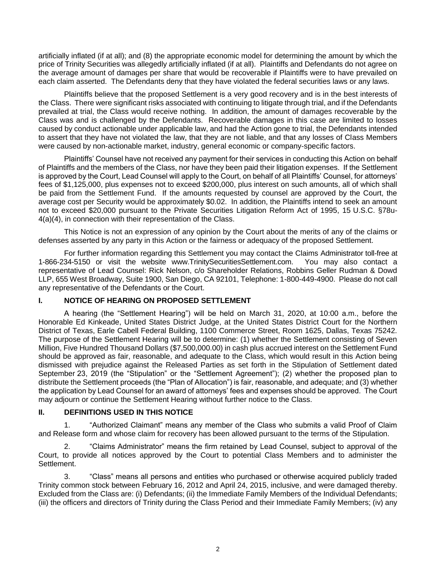artificially inflated (if at all); and (8) the appropriate economic model for determining the amount by which the price of Trinity Securities was allegedly artificially inflated (if at all). Plaintiffs and Defendants do not agree on the average amount of damages per share that would be recoverable if Plaintiffs were to have prevailed on each claim asserted. The Defendants deny that they have violated the federal securities laws or any laws.

Plaintiffs believe that the proposed Settlement is a very good recovery and is in the best interests of the Class. There were significant risks associated with continuing to litigate through trial, and if the Defendants prevailed at trial, the Class would receive nothing. In addition, the amount of damages recoverable by the Class was and is challenged by the Defendants. Recoverable damages in this case are limited to losses caused by conduct actionable under applicable law, and had the Action gone to trial, the Defendants intended to assert that they have not violated the law, that they are not liable, and that any losses of Class Members were caused by non-actionable market, industry, general economic or company-specific factors.

Plaintiffs' Counsel have not received any payment for their services in conducting this Action on behalf of Plaintiffs and the members of the Class, nor have they been paid their litigation expenses. If the Settlement is approved by the Court, Lead Counsel will apply to the Court, on behalf of all Plaintiffs' Counsel, for attorneys' fees of \$1,125,000, plus expenses not to exceed \$200,000, plus interest on such amounts, all of which shall be paid from the Settlement Fund. If the amounts requested by counsel are approved by the Court, the average cost per Security would be approximately \$0.02. In addition, the Plaintiffs intend to seek an amount not to exceed \$20,000 pursuant to the Private Securities Litigation Reform Act of 1995, 15 U.S.C. §78u-4(a)(4), in connection with their representation of the Class.

This Notice is not an expression of any opinion by the Court about the merits of any of the claims or defenses asserted by any party in this Action or the fairness or adequacy of the proposed Settlement.

For further information regarding this Settlement you may contact the Claims Administrator toll-free at 1-866-234-5150 or visit the website www.TrinitySecuritiesSettlement.com. You may also contact a representative of Lead Counsel: Rick Nelson, c/o Shareholder Relations, Robbins Geller Rudman & Dowd LLP, 655 West Broadway, Suite 1900, San Diego, CA 92101, Telephone: 1-800-449-4900. Please do not call any representative of the Defendants or the Court.

## **I. NOTICE OF HEARING ON PROPOSED SETTLEMENT**

A hearing (the "Settlement Hearing") will be held on March 31, 2020, at 10:00 a.m., before the Honorable Ed Kinkeade, United States District Judge, at the United States District Court for the Northern District of Texas, Earle Cabell Federal Building, 1100 Commerce Street, Room 1625, Dallas, Texas 75242. The purpose of the Settlement Hearing will be to determine: (1) whether the Settlement consisting of Seven Million, Five Hundred Thousand Dollars (\$7,500,000.00) in cash plus accrued interest on the Settlement Fund should be approved as fair, reasonable, and adequate to the Class, which would result in this Action being dismissed with prejudice against the Released Parties as set forth in the Stipulation of Settlement dated September 23, 2019 (the "Stipulation" or the "Settlement Agreement"); (2) whether the proposed plan to distribute the Settlement proceeds (the "Plan of Allocation") is fair, reasonable, and adequate; and (3) whether the application by Lead Counsel for an award of attorneys' fees and expenses should be approved. The Court may adjourn or continue the Settlement Hearing without further notice to the Class.

## **II. DEFINITIONS USED IN THIS NOTICE**

1. "Authorized Claimant" means any member of the Class who submits a valid Proof of Claim and Release form and whose claim for recovery has been allowed pursuant to the terms of the Stipulation.

2. "Claims Administrator" means the firm retained by Lead Counsel, subject to approval of the Court, to provide all notices approved by the Court to potential Class Members and to administer the Settlement.

3. "Class" means all persons and entities who purchased or otherwise acquired publicly traded Trinity common stock between February 16, 2012 and April 24, 2015, inclusive, and were damaged thereby. Excluded from the Class are: (i) Defendants; (ii) the Immediate Family Members of the Individual Defendants; (iii) the officers and directors of Trinity during the Class Period and their Immediate Family Members; (iv) any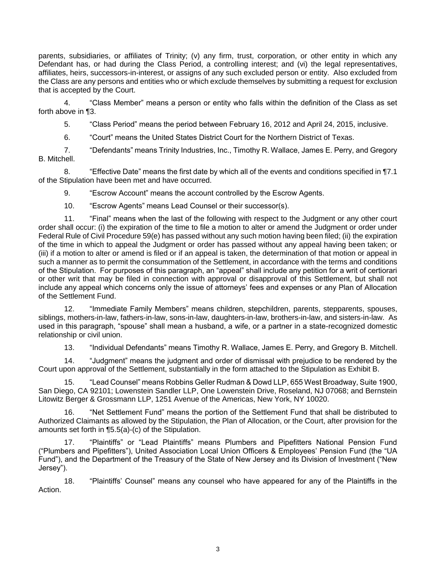parents, subsidiaries, or affiliates of Trinity; (v) any firm, trust, corporation, or other entity in which any Defendant has, or had during the Class Period, a controlling interest; and (vi) the legal representatives, affiliates, heirs, successors-in-interest, or assigns of any such excluded person or entity. Also excluded from the Class are any persons and entities who or which exclude themselves by submitting a request for exclusion that is accepted by the Court.

4. "Class Member" means a person or entity who falls within the definition of the Class as set forth above in ¶3.

5. "Class Period" means the period between February 16, 2012 and April 24, 2015, inclusive.

6. "Court" means the United States District Court for the Northern District of Texas.

7. "Defendants" means Trinity Industries, Inc., Timothy R. Wallace, James E. Perry, and Gregory B. Mitchell.

8. "Effective Date" means the first date by which all of the events and conditions specified in ¶7.1 of the Stipulation have been met and have occurred.

9. "Escrow Account" means the account controlled by the Escrow Agents.

10. "Escrow Agents" means Lead Counsel or their successor(s).

11. "Final" means when the last of the following with respect to the Judgment or any other court order shall occur: (i) the expiration of the time to file a motion to alter or amend the Judgment or order under Federal Rule of Civil Procedure 59(e) has passed without any such motion having been filed; (ii) the expiration of the time in which to appeal the Judgment or order has passed without any appeal having been taken; or (iii) if a motion to alter or amend is filed or if an appeal is taken, the determination of that motion or appeal in such a manner as to permit the consummation of the Settlement, in accordance with the terms and conditions of the Stipulation. For purposes of this paragraph, an "appeal" shall include any petition for a writ of certiorari or other writ that may be filed in connection with approval or disapproval of this Settlement, but shall not include any appeal which concerns only the issue of attorneys' fees and expenses or any Plan of Allocation of the Settlement Fund.

12. "Immediate Family Members" means children, stepchildren, parents, stepparents, spouses, siblings, mothers-in-law, fathers-in-law, sons-in-law, daughters-in-law, brothers-in-law, and sisters-in-law. As used in this paragraph, "spouse" shall mean a husband, a wife, or a partner in a state-recognized domestic relationship or civil union.

13. "Individual Defendants" means Timothy R. Wallace, James E. Perry, and Gregory B. Mitchell.

14. "Judgment" means the judgment and order of dismissal with prejudice to be rendered by the Court upon approval of the Settlement, substantially in the form attached to the Stipulation as Exhibit B.

15. "Lead Counsel" means Robbins Geller Rudman & Dowd LLP, 655 West Broadway, Suite 1900, San Diego, CA 92101; Lowenstein Sandler LLP, One Lowenstein Drive, Roseland, NJ 07068; and Bernstein Litowitz Berger & Grossmann LLP, 1251 Avenue of the Americas, New York, NY 10020.

16. "Net Settlement Fund" means the portion of the Settlement Fund that shall be distributed to Authorized Claimants as allowed by the Stipulation, the Plan of Allocation, or the Court, after provision for the amounts set forth in ¶5.5(a)-(c) of the Stipulation.

17. "Plaintiffs" or "Lead Plaintiffs" means Plumbers and Pipefitters National Pension Fund ("Plumbers and Pipefitters"), United Association Local Union Officers & Employees' Pension Fund (the "UA Fund"), and the Department of the Treasury of the State of New Jersey and its Division of Investment ("New Jersey").

18. "Plaintiffs' Counsel" means any counsel who have appeared for any of the Plaintiffs in the Action.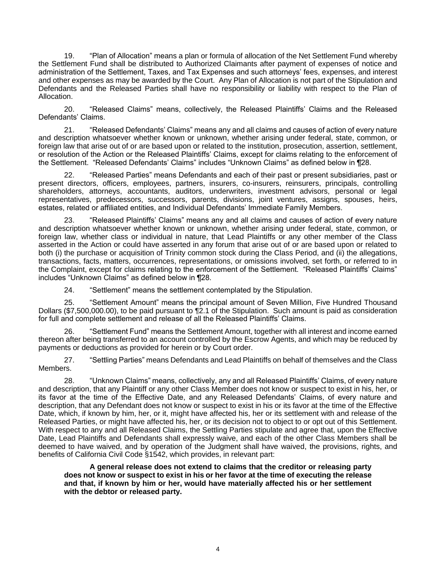19. "Plan of Allocation" means a plan or formula of allocation of the Net Settlement Fund whereby the Settlement Fund shall be distributed to Authorized Claimants after payment of expenses of notice and administration of the Settlement, Taxes, and Tax Expenses and such attorneys' fees, expenses, and interest and other expenses as may be awarded by the Court. Any Plan of Allocation is not part of the Stipulation and Defendants and the Released Parties shall have no responsibility or liability with respect to the Plan of Allocation.

20. "Released Claims" means, collectively, the Released Plaintiffs' Claims and the Released Defendants' Claims.

21. "Released Defendants' Claims" means any and all claims and causes of action of every nature and description whatsoever whether known or unknown, whether arising under federal, state, common, or foreign law that arise out of or are based upon or related to the institution, prosecution, assertion, settlement, or resolution of the Action or the Released Plaintiffs' Claims, except for claims relating to the enforcement of the Settlement. "Released Defendants' Claims" includes "Unknown Claims" as defined below in ¶28.

22. "Released Parties" means Defendants and each of their past or present subsidiaries, past or present directors, officers, employees, partners, insurers, co-insurers, reinsurers, principals, controlling shareholders, attorneys, accountants, auditors, underwriters, investment advisors, personal or legal representatives, predecessors, successors, parents, divisions, joint ventures, assigns, spouses, heirs, estates, related or affiliated entities, and Individual Defendants' Immediate Family Members.

23. "Released Plaintiffs' Claims" means any and all claims and causes of action of every nature and description whatsoever whether known or unknown, whether arising under federal, state, common, or foreign law, whether class or individual in nature, that Lead Plaintiffs or any other member of the Class asserted in the Action or could have asserted in any forum that arise out of or are based upon or related to both (i) the purchase or acquisition of Trinity common stock during the Class Period, and (ii) the allegations, transactions, facts, matters, occurrences, representations, or omissions involved, set forth, or referred to in the Complaint, except for claims relating to the enforcement of the Settlement. "Released Plaintiffs' Claims" includes "Unknown Claims" as defined below in ¶28.

24. "Settlement" means the settlement contemplated by the Stipulation.

25. "Settlement Amount" means the principal amount of Seven Million, Five Hundred Thousand Dollars (\$7,500,000.00), to be paid pursuant to ¶2.1 of the Stipulation. Such amount is paid as consideration for full and complete settlement and release of all the Released Plaintiffs' Claims.

26. "Settlement Fund" means the Settlement Amount, together with all interest and income earned thereon after being transferred to an account controlled by the Escrow Agents, and which may be reduced by payments or deductions as provided for herein or by Court order.

27. "Settling Parties" means Defendants and Lead Plaintiffs on behalf of themselves and the Class Members.

28. "Unknown Claims" means, collectively, any and all Released Plaintiffs' Claims, of every nature and description, that any Plaintiff or any other Class Member does not know or suspect to exist in his, her, or its favor at the time of the Effective Date, and any Released Defendants' Claims, of every nature and description, that any Defendant does not know or suspect to exist in his or its favor at the time of the Effective Date, which, if known by him, her, or it, might have affected his, her or its settlement with and release of the Released Parties, or might have affected his, her, or its decision not to object to or opt out of this Settlement. With respect to any and all Released Claims, the Settling Parties stipulate and agree that, upon the Effective Date, Lead Plaintiffs and Defendants shall expressly waive, and each of the other Class Members shall be deemed to have waived, and by operation of the Judgment shall have waived, the provisions, rights, and benefits of California Civil Code §1542, which provides, in relevant part:

**A general release does not extend to claims that the creditor or releasing party does not know or suspect to exist in his or her favor at the time of executing the release and that, if known by him or her, would have materially affected his or her settlement with the debtor or released party.**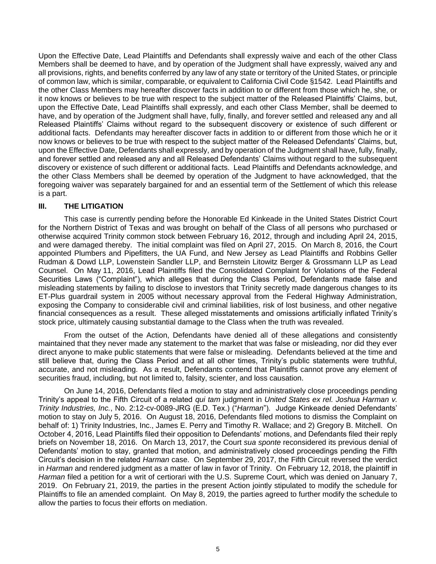Upon the Effective Date, Lead Plaintiffs and Defendants shall expressly waive and each of the other Class Members shall be deemed to have, and by operation of the Judgment shall have expressly, waived any and all provisions, rights, and benefits conferred by any law of any state or territory of the United States, or principle of common law, which is similar, comparable, or equivalent to California Civil Code §1542. Lead Plaintiffs and the other Class Members may hereafter discover facts in addition to or different from those which he, she, or it now knows or believes to be true with respect to the subject matter of the Released Plaintiffs' Claims, but, upon the Effective Date, Lead Plaintiffs shall expressly, and each other Class Member, shall be deemed to have, and by operation of the Judgment shall have, fully, finally, and forever settled and released any and all Released Plaintiffs' Claims without regard to the subsequent discovery or existence of such different or additional facts. Defendants may hereafter discover facts in addition to or different from those which he or it now knows or believes to be true with respect to the subject matter of the Released Defendants' Claims, but, upon the Effective Date, Defendants shall expressly, and by operation of the Judgment shall have, fully, finally, and forever settled and released any and all Released Defendants' Claims without regard to the subsequent discovery or existence of such different or additional facts. Lead Plaintiffs and Defendants acknowledge, and the other Class Members shall be deemed by operation of the Judgment to have acknowledged, that the foregoing waiver was separately bargained for and an essential term of the Settlement of which this release is a part.

## **III. THE LITIGATION**

This case is currently pending before the Honorable Ed Kinkeade in the United States District Court for the Northern District of Texas and was brought on behalf of the Class of all persons who purchased or otherwise acquired Trinity common stock between February 16, 2012, through and including April 24, 2015, and were damaged thereby. The initial complaint was filed on April 27, 2015. On March 8, 2016, the Court appointed Plumbers and Pipefitters, the UA Fund, and New Jersey as Lead Plaintiffs and Robbins Geller Rudman & Dowd LLP, Lowenstein Sandler LLP, and Bernstein Litowitz Berger & Grossmann LLP as Lead Counsel. On May 11, 2016, Lead Plaintiffs filed the Consolidated Complaint for Violations of the Federal Securities Laws ("Complaint"), which alleges that during the Class Period, Defendants made false and misleading statements by failing to disclose to investors that Trinity secretly made dangerous changes to its ET-Plus guardrail system in 2005 without necessary approval from the Federal Highway Administration, exposing the Company to considerable civil and criminal liabilities, risk of lost business, and other negative financial consequences as a result. These alleged misstatements and omissions artificially inflated Trinity's stock price, ultimately causing substantial damage to the Class when the truth was revealed.

From the outset of the Action, Defendants have denied all of these allegations and consistently maintained that they never made any statement to the market that was false or misleading, nor did they ever direct anyone to make public statements that were false or misleading. Defendants believed at the time and still believe that, during the Class Period and at all other times, Trinity's public statements were truthful, accurate, and not misleading. As a result, Defendants contend that Plaintiffs cannot prove any element of securities fraud, including, but not limited to, falsity, scienter, and loss causation.

On June 14, 2016, Defendants filed a motion to stay and administratively close proceedings pending Trinity's appeal to the Fifth Circuit of a related *qui tam* judgment in *United States ex rel. Joshua Harman v. Trinity Industries, Inc.*, No. 2:12-cv-0089-JRG (E.D. Tex.) ("*Harman*"). Judge Kinkeade denied Defendants' motion to stay on July 5, 2016. On August 18, 2016, Defendants filed motions to dismiss the Complaint on behalf of: 1) Trinity Industries, Inc., James E. Perry and Timothy R. Wallace; and 2) Gregory B. Mitchell. On October 4, 2016, Lead Plaintiffs filed their opposition to Defendants' motions, and Defendants filed their reply briefs on November 18, 2016. On March 13, 2017, the Court *sua sponte* reconsidered its previous denial of Defendants' motion to stay, granted that motion, and administratively closed proceedings pending the Fifth Circuit's decision in the related *Harman* case. On September 29, 2017, the Fifth Circuit reversed the verdict in *Harman* and rendered judgment as a matter of law in favor of Trinity. On February 12, 2018, the plaintiff in *Harman* filed a petition for a writ of certiorari with the U.S. Supreme Court, which was denied on January 7, 2019. On February 21, 2019, the parties in the present Action jointly stipulated to modify the schedule for Plaintiffs to file an amended complaint. On May 8, 2019, the parties agreed to further modify the schedule to allow the parties to focus their efforts on mediation.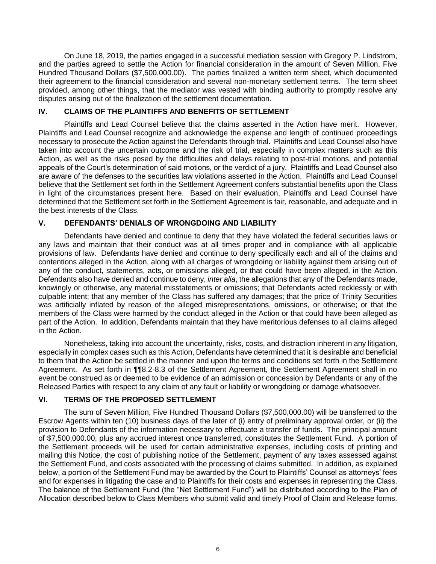On June 18, 2019, the parties engaged in a successful mediation session with Gregory P. Lindstrom, and the parties agreed to settle the Action for financial consideration in the amount of Seven Million, Five Hundred Thousand Dollars (\$7,500,000.00). The parties finalized a written term sheet, which documented their agreement to the financial consideration and several non-monetary settlement terms. The term sheet provided, among other things, that the mediator was vested with binding authority to promptly resolve any disputes arising out of the finalization of the settlement documentation.

# **IV. CLAIMS OF THE PLAINTIFFS AND BENEFITS OF SETTLEMENT**

Plaintiffs and Lead Counsel believe that the claims asserted in the Action have merit. However, Plaintiffs and Lead Counsel recognize and acknowledge the expense and length of continued proceedings necessary to prosecute the Action against the Defendants through trial. Plaintiffs and Lead Counsel also have taken into account the uncertain outcome and the risk of trial, especially in complex matters such as this Action, as well as the risks posed by the difficulties and delays relating to post-trial motions, and potential appeals of the Court's determination of said motions, or the verdict of a jury. Plaintiffs and Lead Counsel also are aware of the defenses to the securities law violations asserted in the Action. Plaintiffs and Lead Counsel believe that the Settlement set forth in the Settlement Agreement confers substantial benefits upon the Class in light of the circumstances present here. Based on their evaluation, Plaintiffs and Lead Counsel have determined that the Settlement set forth in the Settlement Agreement is fair, reasonable, and adequate and in the best interests of the Class.

# **V. DEFENDANTS' DENIALS OF WRONGDOING AND LIABILITY**

Defendants have denied and continue to deny that they have violated the federal securities laws or any laws and maintain that their conduct was at all times proper and in compliance with all applicable provisions of law. Defendants have denied and continue to deny specifically each and all of the claims and contentions alleged in the Action, along with all charges of wrongdoing or liability against them arising out of any of the conduct, statements, acts, or omissions alleged, or that could have been alleged, in the Action. Defendants also have denied and continue to deny, *inter alia*, the allegations that any of the Defendants made, knowingly or otherwise, any material misstatements or omissions; that Defendants acted recklessly or with culpable intent; that any member of the Class has suffered any damages; that the price of Trinity Securities was artificially inflated by reason of the alleged misrepresentations, omissions, or otherwise; or that the members of the Class were harmed by the conduct alleged in the Action or that could have been alleged as part of the Action. In addition, Defendants maintain that they have meritorious defenses to all claims alleged in the Action.

Nonetheless, taking into account the uncertainty, risks, costs, and distraction inherent in any litigation, especially in complex cases such as this Action, Defendants have determined that it is desirable and beneficial to them that the Action be settled in the manner and upon the terms and conditions set forth in the Settlement Agreement. As set forth in ¶¶8.2-8.3 of the Settlement Agreement, the Settlement Agreement shall in no event be construed as or deemed to be evidence of an admission or concession by Defendants or any of the Released Parties with respect to any claim of any fault or liability or wrongdoing or damage whatsoever.

# **VI. TERMS OF THE PROPOSED SETTLEMENT**

The sum of Seven Million, Five Hundred Thousand Dollars (\$7,500,000.00) will be transferred to the Escrow Agents within ten (10) business days of the later of (i) entry of preliminary approval order, or (ii) the provision to Defendants of the information necessary to effectuate a transfer of funds. The principal amount of \$7,500,000.00, plus any accrued interest once transferred, constitutes the Settlement Fund. A portion of the Settlement proceeds will be used for certain administrative expenses, including costs of printing and mailing this Notice, the cost of publishing notice of the Settlement, payment of any taxes assessed against the Settlement Fund, and costs associated with the processing of claims submitted. In addition, as explained below, a portion of the Settlement Fund may be awarded by the Court to Plaintiffs' Counsel as attorneys' fees and for expenses in litigating the case and to Plaintiffs for their costs and expenses in representing the Class. The balance of the Settlement Fund (the "Net Settlement Fund") will be distributed according to the Plan of Allocation described below to Class Members who submit valid and timely Proof of Claim and Release forms.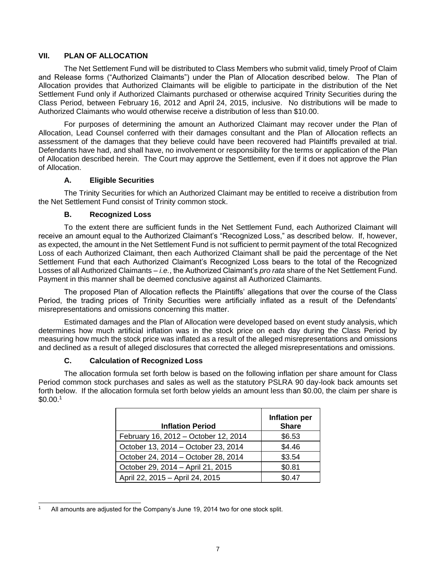### **VII. PLAN OF ALLOCATION**

The Net Settlement Fund will be distributed to Class Members who submit valid, timely Proof of Claim and Release forms ("Authorized Claimants") under the Plan of Allocation described below. The Plan of Allocation provides that Authorized Claimants will be eligible to participate in the distribution of the Net Settlement Fund only if Authorized Claimants purchased or otherwise acquired Trinity Securities during the Class Period, between February 16, 2012 and April 24, 2015, inclusive. No distributions will be made to Authorized Claimants who would otherwise receive a distribution of less than \$10.00.

For purposes of determining the amount an Authorized Claimant may recover under the Plan of Allocation, Lead Counsel conferred with their damages consultant and the Plan of Allocation reflects an assessment of the damages that they believe could have been recovered had Plaintiffs prevailed at trial. Defendants have had, and shall have, no involvement or responsibility for the terms or application of the Plan of Allocation described herein. The Court may approve the Settlement, even if it does not approve the Plan of Allocation.

## **A. Eligible Securities**

The Trinity Securities for which an Authorized Claimant may be entitled to receive a distribution from the Net Settlement Fund consist of Trinity common stock.

### **B. Recognized Loss**

To the extent there are sufficient funds in the Net Settlement Fund, each Authorized Claimant will receive an amount equal to the Authorized Claimant's "Recognized Loss," as described below. If, however, as expected, the amount in the Net Settlement Fund is not sufficient to permit payment of the total Recognized Loss of each Authorized Claimant, then each Authorized Claimant shall be paid the percentage of the Net Settlement Fund that each Authorized Claimant's Recognized Loss bears to the total of the Recognized Losses of all Authorized Claimants – *i.e.*, the Authorized Claimant's *pro rata* share of the Net Settlement Fund. Payment in this manner shall be deemed conclusive against all Authorized Claimants.

The proposed Plan of Allocation reflects the Plaintiffs' allegations that over the course of the Class Period, the trading prices of Trinity Securities were artificially inflated as a result of the Defendants' misrepresentations and omissions concerning this matter.

Estimated damages and the Plan of Allocation were developed based on event study analysis, which determines how much artificial inflation was in the stock price on each day during the Class Period by measuring how much the stock price was inflated as a result of the alleged misrepresentations and omissions and declined as a result of alleged disclosures that corrected the alleged misrepresentations and omissions.

## **C. Calculation of Recognized Loss**

The allocation formula set forth below is based on the following inflation per share amount for Class Period common stock purchases and sales as well as the statutory PSLRA 90 day-look back amounts set forth below. If the allocation formula set forth below yields an amount less than \$0.00, the claim per share is \$0.00.<sup>1</sup>

| <b>Inflation Period</b>              | Inflation per<br><b>Share</b> |
|--------------------------------------|-------------------------------|
| February 16, 2012 - October 12, 2014 | \$6.53                        |
| October 13, 2014 - October 23, 2014  | \$4.46                        |
| October 24, 2014 - October 28, 2014  | \$3.54                        |
| October 29, 2014 - April 21, 2015    | \$0.81                        |
| April 22, 2015 - April 24, 2015      | \$0.47                        |

 $\overline{a}$ All amounts are adjusted for the Company's June 19, 2014 two for one stock split.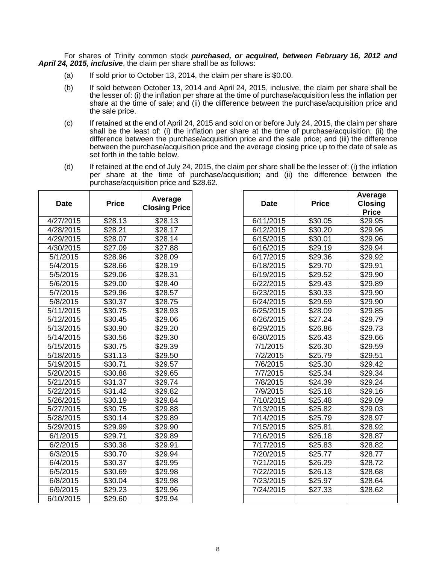For shares of Trinity common stock *purchased, or acquired, between February 16, 2012 and April 24, 2015, inclusive*, the claim per share shall be as follows:

- (a) If sold prior to October 13, 2014, the claim per share is \$0.00.
- (b) If sold between October 13, 2014 and April 24, 2015, inclusive, the claim per share shall be the lesser of: (i) the inflation per share at the time of purchase/acquisition less the inflation per share at the time of sale; and (ii) the difference between the purchase/acquisition price and the sale price.
- (c) If retained at the end of April 24, 2015 and sold on or before July 24, 2015, the claim per share shall be the least of: (i) the inflation per share at the time of purchase/acquisition; (ii) the difference between the purchase/acquisition price and the sale price; and (iii) the difference between the purchase/acquisition price and the average closing price up to the date of sale as set forth in the table below.
- (d) If retained at the end of July 24, 2015, the claim per share shall be the lesser of: (i) the inflation per share at the time of purchase/acquisition; and (ii) the difference between the purchase/acquisition price and \$28.62.

| <b>Date</b> | <b>Price</b> | Average<br><b>Closing Price</b> | <b>Date</b> | <b>Price</b>        | Average<br>Closing<br><b>Price</b> |
|-------------|--------------|---------------------------------|-------------|---------------------|------------------------------------|
| 4/27/2015   | \$28.13      | \$28.13                         | 6/11/2015   | \$30.05             | \$29.95                            |
| 4/28/2015   | \$28.21      | \$28.17                         | 6/12/2015   | \$30.20             | \$29.96                            |
| 4/29/2015   | \$28.07      | \$28.14                         | 6/15/2015   | \$30.01             | \$29.96                            |
| 4/30/2015   | \$27.09      | \$27.88                         | 6/16/2015   | \$29.19             | \$29.94                            |
| 5/1/2015    | \$28.96      | \$28.09                         | 6/17/2015   | \$29.36             | \$29.92                            |
| 5/4/2015    | \$28.66      | \$28.19                         | 6/18/2015   | \$29.70             | \$29.91                            |
| 5/5/2015    | \$29.06      | \$28.31                         | 6/19/2015   | \$29.52             | \$29.90                            |
| 5/6/2015    | \$29.00      | \$28.40                         | 6/22/2015   | \$29.43             | \$29.89                            |
| 5/7/2015    | \$29.96      | \$28.57                         | 6/23/2015   | \$30.33             | \$29.90                            |
| 5/8/2015    | \$30.37      | \$28.75                         | 6/24/2015   | \$29.59             | \$29.90                            |
| 5/11/2015   | \$30.75      | \$28.93                         | 6/25/2015   | \$28.09             | \$29.85                            |
| 5/12/2015   | \$30.45      | \$29.06                         | 6/26/2015   | \$27.24             | \$29.79                            |
| 5/13/2015   | \$30.90      | \$29.20                         | 6/29/2015   | \$26.86             | \$29.73                            |
| 5/14/2015   | \$30.56      | \$29.30                         | 6/30/2015   | \$26.43             | \$29.66                            |
| 5/15/2015   | \$30.75      | \$29.39                         | 7/1/2015    | \$26.30             | \$29.59                            |
| 5/18/2015   | \$31.13      | \$29.50                         | 7/2/2015    | \$25.79             | \$29.51                            |
| 5/19/2015   | \$30.71      | \$29.57                         | 7/6/2015    | \$25.30             | \$29.42                            |
| 5/20/2015   | \$30.88      | \$29.65                         | 7/7/2015    | $\overline{$}25.34$ | \$29.34                            |
| 5/21/2015   | \$31.37      | \$29.74                         | 7/8/2015    | \$24.39             | \$29.24                            |
| 5/22/2015   | \$31.42      | \$29.82                         | 7/9/2015    | \$25.18             | \$29.16                            |
| 5/26/2015   | \$30.19      | \$29.84                         | 7/10/2015   | \$25.48             | \$29.09                            |
| 5/27/2015   | \$30.75      | \$29.88                         | 7/13/2015   | \$25.82             | \$29.03                            |
| 5/28/2015   | \$30.14      | \$29.89                         | 7/14/2015   | \$25.79             | \$28.97                            |
| 5/29/2015   | \$29.99      | \$29.90                         | 7/15/2015   | \$25.81             | \$28.92                            |
| 6/1/2015    | \$29.71      | \$29.89                         | 7/16/2015   | \$26.18             | \$28.87                            |
| 6/2/2015    | \$30.38      | \$29.91                         | 7/17/2015   | \$25.83             | \$28.82                            |
| 6/3/2015    | \$30.70      | \$29.94                         | 7/20/2015   | \$25.77             | \$28.77                            |
| 6/4/2015    | \$30.37      | \$29.95                         | 7/21/2015   | \$26.29             | \$28.72                            |
| 6/5/2015    | \$30.69      | \$29.98                         | 7/22/2015   | \$26.13             | \$28.68                            |
| 6/8/2015    | \$30.04      | \$29.98                         | 7/23/2015   | \$25.97             | \$28.64                            |
| 6/9/2015    | \$29.23      | \$29.96                         | 7/24/2015   | \$27.33             | \$28.62                            |
| 6/10/2015   | \$29.60      | \$29.94                         |             |                     |                                    |

| <b>Date</b> | <b>Price</b> | Average<br><b>Closing Price</b> | <b>Date</b> | <b>Price</b> | Average<br><b>Closing</b><br><b>Price</b> |
|-------------|--------------|---------------------------------|-------------|--------------|-------------------------------------------|
| 1/27/2015   | \$28.13      | \$28.13                         | 6/11/2015   | \$30.05      | \$29.95                                   |
| 1/28/2015   | \$28.21      | \$28.17                         | 6/12/2015   | \$30.20      | \$29.96                                   |
| 1/29/2015   | \$28.07      | \$28.14                         | 6/15/2015   | \$30.01      | \$29.96                                   |
| 1/30/2015   | \$27.09      | \$27.88                         | 6/16/2015   | \$29.19      | \$29.94                                   |
| 5/1/2015    | \$28.96      | \$28.09                         | 6/17/2015   | \$29.36      | \$29.92                                   |
| 5/4/2015    | \$28.66      | \$28.19                         | 6/18/2015   | \$29.70      | \$29.91                                   |
| 5/5/2015    | \$29.06      | \$28.31                         | 6/19/2015   | \$29.52      | \$29.90                                   |
| 5/6/2015    | \$29.00      | \$28.40                         | 6/22/2015   | \$29.43      | \$29.89                                   |
| 5/7/2015    | \$29.96      | \$28.57                         | 6/23/2015   | \$30.33      | \$29.90                                   |
| 5/8/2015    | \$30.37      | \$28.75                         | 6/24/2015   | \$29.59      | \$29.90                                   |
| 5/11/2015   | \$30.75      | \$28.93                         | 6/25/2015   | \$28.09      | \$29.85                                   |
| 5/12/2015   | \$30.45      | \$29.06                         | 6/26/2015   | \$27.24      | \$29.79                                   |
| 5/13/2015   | \$30.90      | \$29.20                         | 6/29/2015   | \$26.86      | \$29.73                                   |
| 5/14/2015   | \$30.56      | \$29.30                         | 6/30/2015   | \$26.43      | \$29.66                                   |
| 5/15/2015   | \$30.75      | \$29.39                         | 7/1/2015    | \$26.30      | \$29.59                                   |
| 5/18/2015   | \$31.13      | \$29.50                         | 7/2/2015    | \$25.79      | \$29.51                                   |
| 5/19/2015   | \$30.71      | \$29.57                         | 7/6/2015    | \$25.30      | $\overline{$}29.42$                       |
| 5/20/2015   | \$30.88      | \$29.65                         | 7/7/2015    | \$25.34      | \$29.34                                   |
| 5/21/2015   | \$31.37      | \$29.74                         | 7/8/2015    | \$24.39      | \$29.24                                   |
| 5/22/2015   | \$31.42      | \$29.82                         | 7/9/2015    | \$25.18      | \$29.16                                   |
| 5/26/2015   | \$30.19      | \$29.84                         | 7/10/2015   | \$25.48      | \$29.09                                   |
| 5/27/2015   | \$30.75      | \$29.88                         | 7/13/2015   | \$25.82      | \$29.03                                   |
| 5/28/2015   | \$30.14      | \$29.89                         | 7/14/2015   | \$25.79      | \$28.97                                   |
| 5/29/2015   | \$29.99      | \$29.90                         | 7/15/2015   | \$25.81      | \$28.92                                   |
| 6/1/2015    | \$29.71      | \$29.89                         | 7/16/2015   | \$26.18      | \$28.87                                   |
| 6/2/2015    | \$30.38      | \$29.91                         | 7/17/2015   | \$25.83      | \$28.82                                   |
| 6/3/2015    | \$30.70      | \$29.94                         | 7/20/2015   | \$25.77      | \$28.77                                   |
| 6/4/2015    | \$30.37      | \$29.95                         | 7/21/2015   | \$26.29      | \$28.72                                   |
| 6/5/2015    | \$30.69      | \$29.98                         | 7/22/2015   | \$26.13      | \$28.68                                   |
| 6/8/2015    | \$30.04      | \$29.98                         | 7/23/2015   | \$25.97      | \$28.64                                   |
| 6/9/2015    | \$29.23      | \$29.96                         | 7/24/2015   | \$27.33      | \$28.62                                   |
| 3/10/2015   | \$29.60      | \$29.94                         |             |              |                                           |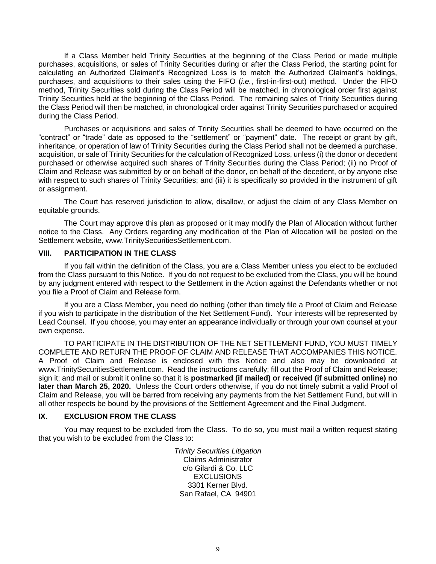If a Class Member held Trinity Securities at the beginning of the Class Period or made multiple purchases, acquisitions, or sales of Trinity Securities during or after the Class Period, the starting point for calculating an Authorized Claimant's Recognized Loss is to match the Authorized Claimant's holdings, purchases, and acquisitions to their sales using the FIFO (*i.e.*, first-in-first-out) method. Under the FIFO method, Trinity Securities sold during the Class Period will be matched, in chronological order first against Trinity Securities held at the beginning of the Class Period. The remaining sales of Trinity Securities during the Class Period will then be matched, in chronological order against Trinity Securities purchased or acquired during the Class Period.

Purchases or acquisitions and sales of Trinity Securities shall be deemed to have occurred on the "contract" or "trade" date as opposed to the "settlement" or "payment" date. The receipt or grant by gift, inheritance, or operation of law of Trinity Securities during the Class Period shall not be deemed a purchase, acquisition, or sale of Trinity Securities for the calculation of Recognized Loss, unless (i) the donor or decedent purchased or otherwise acquired such shares of Trinity Securities during the Class Period; (ii) no Proof of Claim and Release was submitted by or on behalf of the donor, on behalf of the decedent, or by anyone else with respect to such shares of Trinity Securities; and (iii) it is specifically so provided in the instrument of gift or assignment.

The Court has reserved jurisdiction to allow, disallow, or adjust the claim of any Class Member on equitable grounds.

The Court may approve this plan as proposed or it may modify the Plan of Allocation without further notice to the Class. Any Orders regarding any modification of the Plan of Allocation will be posted on the Settlement website, www.TrinitySecuritiesSettlement.com.

### **VIII. PARTICIPATION IN THE CLASS**

If you fall within the definition of the Class, you are a Class Member unless you elect to be excluded from the Class pursuant to this Notice. If you do not request to be excluded from the Class, you will be bound by any judgment entered with respect to the Settlement in the Action against the Defendants whether or not you file a Proof of Claim and Release form.

If you are a Class Member, you need do nothing (other than timely file a Proof of Claim and Release if you wish to participate in the distribution of the Net Settlement Fund). Your interests will be represented by Lead Counsel. If you choose, you may enter an appearance individually or through your own counsel at your own expense.

TO PARTICIPATE IN THE DISTRIBUTION OF THE NET SETTLEMENT FUND, YOU MUST TIMELY COMPLETE AND RETURN THE PROOF OF CLAIM AND RELEASE THAT ACCOMPANIES THIS NOTICE. A Proof of Claim and Release is enclosed with this Notice and also may be downloaded at www.TrinitySecuritiesSettlement.com. Read the instructions carefully; fill out the Proof of Claim and Release; sign it; and mail or submit it online so that it is **postmarked (if mailed) or received (if submitted online) no later than March 25, 2020.** Unless the Court orders otherwise, if you do not timely submit a valid Proof of Claim and Release, you will be barred from receiving any payments from the Net Settlement Fund, but will in all other respects be bound by the provisions of the Settlement Agreement and the Final Judgment.

#### **IX. EXCLUSION FROM THE CLASS**

You may request to be excluded from the Class. To do so, you must mail a written request stating that you wish to be excluded from the Class to:

> *Trinity Securities Litigation* Claims Administrator c/o Gilardi & Co. LLC **EXCLUSIONS** 3301 Kerner Blvd. San Rafael, CA 94901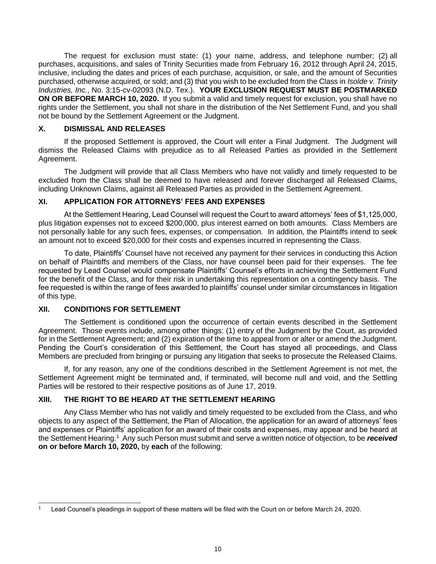The request for exclusion must state: (1) your name, address, and telephone number; (2) all purchases, acquisitions, and sales of Trinity Securities made from February 16, 2012 through April 24, 2015, inclusive, including the dates and prices of each purchase, acquisition, or sale, and the amount of Securities purchased, otherwise acquired, or sold; and (3) that you wish to be excluded from the Class in *Isolde v. Trinity Industries, Inc.*, No. 3:15-cv-02093 (N.D. Tex.). **YOUR EXCLUSION REQUEST MUST BE POSTMARKED ON OR BEFORE MARCH 10, 2020.** If you submit a valid and timely request for exclusion, you shall have no rights under the Settlement, you shall not share in the distribution of the Net Settlement Fund, and you shall not be bound by the Settlement Agreement or the Judgment.

# **X. DISMISSAL AND RELEASES**

If the proposed Settlement is approved, the Court will enter a Final Judgment. The Judgment will dismiss the Released Claims with prejudice as to all Released Parties as provided in the Settlement Agreement.

The Judgment will provide that all Class Members who have not validly and timely requested to be excluded from the Class shall be deemed to have released and forever discharged all Released Claims, including Unknown Claims, against all Released Parties as provided in the Settlement Agreement.

# **XI. APPLICATION FOR ATTORNEYS' FEES AND EXPENSES**

At the Settlement Hearing, Lead Counsel will request the Court to award attorneys' fees of \$1,125,000, plus litigation expenses not to exceed \$200,000, plus interest earned on both amounts. Class Members are not personally liable for any such fees, expenses, or compensation. In addition, the Plaintiffs intend to seek an amount not to exceed \$20,000 for their costs and expenses incurred in representing the Class.

To date, Plaintiffs' Counsel have not received any payment for their services in conducting this Action on behalf of Plaintiffs and members of the Class, nor have counsel been paid for their expenses. The fee requested by Lead Counsel would compensate Plaintiffs' Counsel's efforts in achieving the Settlement Fund for the benefit of the Class, and for their risk in undertaking this representation on a contingency basis. The fee requested is within the range of fees awarded to plaintiffs' counsel under similar circumstances in litigation of this type.

## **XII. CONDITIONS FOR SETTLEMENT**

The Settlement is conditioned upon the occurrence of certain events described in the Settlement Agreement. Those events include, among other things: (1) entry of the Judgment by the Court, as provided for in the Settlement Agreement; and (2) expiration of the time to appeal from or alter or amend the Judgment. Pending the Court's consideration of this Settlement, the Court has stayed all proceedings, and Class Members are precluded from bringing or pursuing any litigation that seeks to prosecute the Released Claims.

If, for any reason, any one of the conditions described in the Settlement Agreement is not met, the Settlement Agreement might be terminated and, if terminated, will become null and void, and the Settling Parties will be restored to their respective positions as of June 17, 2019.

# **XIII. THE RIGHT TO BE HEARD AT THE SETTLEMENT HEARING**

Any Class Member who has not validly and timely requested to be excluded from the Class, and who objects to any aspect of the Settlement, the Plan of Allocation, the application for an award of attorneys' fees and expenses or Plaintiffs' application for an award of their costs and expenses, may appear and be heard at the Settlement Hearing.<sup>1</sup> Any such Person must submit and serve a written notice of objection, to be *received* **on or before March 10, 2020,** by **each** of the following:

 $\overline{a}$ Lead Counsel's pleadings in support of these matters will be filed with the Court on or before March 24, 2020.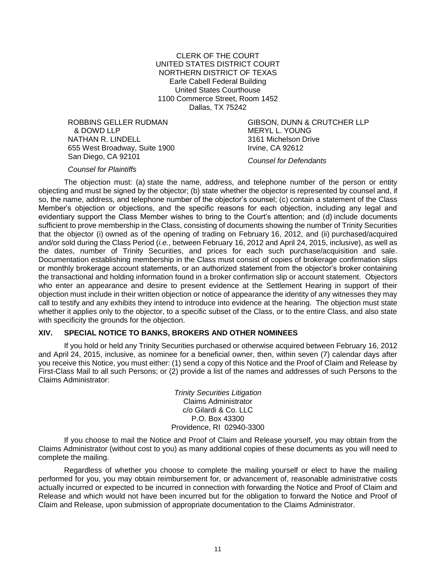CLERK OF THE COURT UNITED STATES DISTRICT COURT NORTHERN DISTRICT OF TEXAS Earle Cabell Federal Building United States Courthouse 1100 Commerce Street, Room 1452 Dallas, TX 75242

ROBBINS GELLER RUDMAN & DOWD LLP NATHAN R. LINDELL 655 West Broadway, Suite 1900 San Diego, CA 92101

GIBSON, DUNN & CRUTCHER LLP MERYL L. YOUNG 3161 Michelson Drive Irvine, CA 92612

*Counsel for Defendants*

#### *Counsel for Plaintiffs*

The objection must: (a) state the name, address, and telephone number of the person or entity objecting and must be signed by the objector; (b) state whether the objector is represented by counsel and, if so, the name, address, and telephone number of the objector's counsel; (c) contain a statement of the Class Member's objection or objections, and the specific reasons for each objection, including any legal and evidentiary support the Class Member wishes to bring to the Court's attention; and (d) include documents sufficient to prove membership in the Class, consisting of documents showing the number of Trinity Securities that the objector (i) owned as of the opening of trading on February 16, 2012, and (ii) purchased/acquired and/or sold during the Class Period (*i.e.*, between February 16, 2012 and April 24, 2015, inclusive), as well as the dates, number of Trinity Securities, and prices for each such purchase/acquisition and sale. Documentation establishing membership in the Class must consist of copies of brokerage confirmation slips or monthly brokerage account statements, or an authorized statement from the objector's broker containing the transactional and holding information found in a broker confirmation slip or account statement. Objectors who enter an appearance and desire to present evidence at the Settlement Hearing in support of their objection must include in their written objection or notice of appearance the identity of any witnesses they may call to testify and any exhibits they intend to introduce into evidence at the hearing. The objection must state whether it applies only to the objector, to a specific subset of the Class, or to the entire Class, and also state with specificity the grounds for the objection.

## **XIV. SPECIAL NOTICE TO BANKS, BROKERS AND OTHER NOMINEES**

If you hold or held any Trinity Securities purchased or otherwise acquired between February 16, 2012 and April 24, 2015, inclusive, as nominee for a beneficial owner, then, within seven (7) calendar days after you receive this Notice, you must either: (1) send a copy of this Notice and the Proof of Claim and Release by First-Class Mail to all such Persons; or (2) provide a list of the names and addresses of such Persons to the Claims Administrator:

> *Trinity Securities Litigation* Claims Administrator c/o Gilardi & Co. LLC P.O. Box 43300 Providence, RI 02940-3300

If you choose to mail the Notice and Proof of Claim and Release yourself, you may obtain from the Claims Administrator (without cost to you) as many additional copies of these documents as you will need to complete the mailing.

Regardless of whether you choose to complete the mailing yourself or elect to have the mailing performed for you, you may obtain reimbursement for, or advancement of, reasonable administrative costs actually incurred or expected to be incurred in connection with forwarding the Notice and Proof of Claim and Release and which would not have been incurred but for the obligation to forward the Notice and Proof of Claim and Release, upon submission of appropriate documentation to the Claims Administrator.